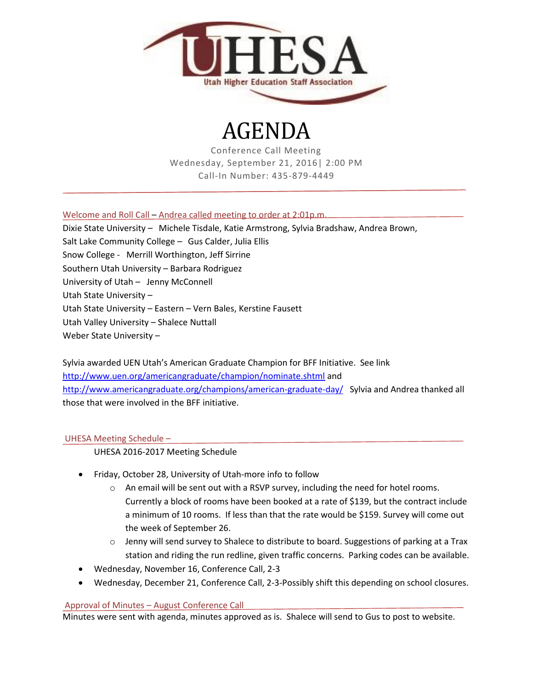

# AGENDA

Conference Call Meeting Wednesday, September 21, 2016| 2:00 PM Call-In Number: 435-879-4449

Welcome and Roll Call – Andrea called meeting to order at 2:01p.m.

Dixie State University – Michele Tisdale, Katie Armstrong, Sylvia Bradshaw, Andrea Brown, Salt Lake Community College – Gus Calder, Julia Ellis Snow College - Merrill Worthington, Jeff Sirrine Southern Utah University – Barbara Rodriguez University of Utah – Jenny McConnell Utah State University – Utah State University – Eastern – Vern Bales, Kerstine Fausett Utah Valley University – Shalece Nuttall Weber State University –

Sylvia awarded UEN Utah's American Graduate Champion for BFF Initiative. See link <http://www.uen.org/americangraduate/champion/nominate.shtml> and <http://www.americangraduate.org/champions/american-graduate-day/>Sylvia and Andrea thanked all those that were involved in the BFF initiative.

# UHESA Meeting Schedule –

UHESA 2016-2017 Meeting Schedule

- Friday, October 28, University of Utah-more info to follow
	- o An email will be sent out with a RSVP survey, including the need for hotel rooms. Currently a block of rooms have been booked at a rate of \$139, but the contract include a minimum of 10 rooms. If less than that the rate would be \$159. Survey will come out the week of September 26.
	- $\circ$  Jenny will send survey to Shalece to distribute to board. Suggestions of parking at a Trax station and riding the run redline, given traffic concerns. Parking codes can be available.
- Wednesday, November 16, Conference Call, 2-3
- Wednesday, December 21, Conference Call, 2-3-Possibly shift this depending on school closures.

## Approval of Minutes – August Conference Call

Minutes were sent with agenda, minutes approved as is. Shalece will send to Gus to post to website.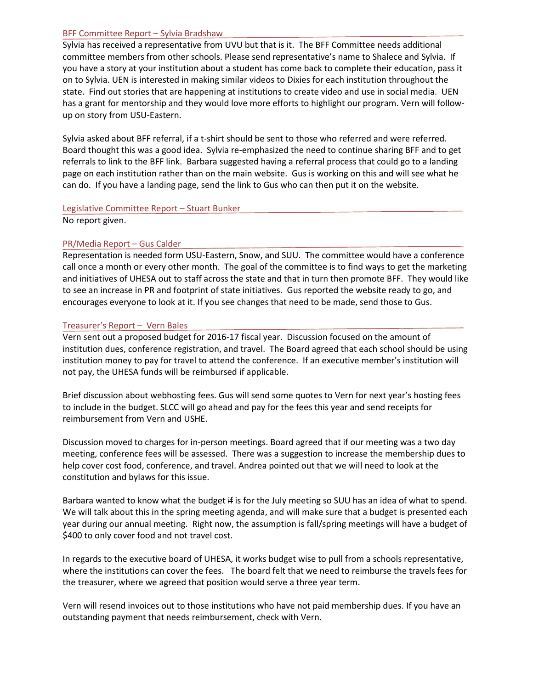#### BFF Committee Report – Sylvia Bradshaw

Sylvia has received a representative from UVU but that is it. The BFF Committee needs additional committee members from other schools. Please send representative's name to Shalece and Sylvia. If you have a story at your institution about a student has come back to complete their education, pass it on to Sylvia. UEN is interested in making similar videos to Dixies for each institution throughout the state. Find out stories that are happening at institutions to create video and use in social media. UEN has a grant for mentorship and they would love more efforts to highlight our program. Vern will followup on story from USU-Eastern.

Sylvia asked about BFF referral, if a t-shirt should be sent to those who referred and were referred. Board thought this was a good idea. Sylvia re-emphasized the need to continue sharing BFF and to get referrals to link to the BFF link. Barbara suggested having a referral process that could go to a landing page on each institution rather than on the main website. Gus is working on this and will see what he can do. If you have a landing page, send the link to Gus who can then put it on the website.

#### Legislative Committee Report – Stuart Bunker

No report given.

#### PR/Media Report – Gus Calder

Representation is needed form USU-Eastern, Snow, and SUU. The committee would have a conference call once a month or every other month. The goal of the committee is to find ways to get the marketing and initiatives of UHESA out to staff across the state and that in turn then promote BFF. They would like to see an increase in PR and footprint of state initiatives. Gus reported the website ready to go, and encourages everyone to look at it. If you see changes that need to be made, send those to Gus.

#### Treasurer's Report – Vern Bales

Vern sent out a proposed budget for 2016-17 fiscal year. Discussion focused on the amount of institution dues, conference registration, and travel. The Board agreed that each school should be using institution money to pay for travel to attend the conference. If an executive member's institution will not pay, the UHESA funds will be reimbursed if applicable.

Brief discussion about webhosting fees. Gus will send some quotes to Vern for next year's hosting fees to include in the budget. SLCC will go ahead and pay for the fees this year and send receipts for reimbursement from Vern and USHE.

Discussion moved to charges for in-person meetings. Board agreed that if our meeting was a two day meeting, conference fees will be assessed. There was a suggestion to increase the membership dues to help cover cost food, conference, and travel. Andrea pointed out that we will need to look at the constitution and bylaws for this issue.

Barbara wanted to know what the budget if is for the July meeting so SUU has an idea of what to spend. We will talk about this in the spring meeting agenda, and will make sure that a budget is presented each year during our annual meeting. Right now, the assumption is fall/spring meetings will have a budget of \$400 to only cover food and not travel cost.

In regards to the executive board of UHESA, it works budget wise to pull from a schools representative, where the institutions can cover the fees. The board felt that we need to reimburse the travels fees for the treasurer, where we agreed that position would serve a three year term.

Vern will resend invoices out to those institutions who have not paid membership dues. If you have an outstanding payment that needs reimbursement, check with Vern.